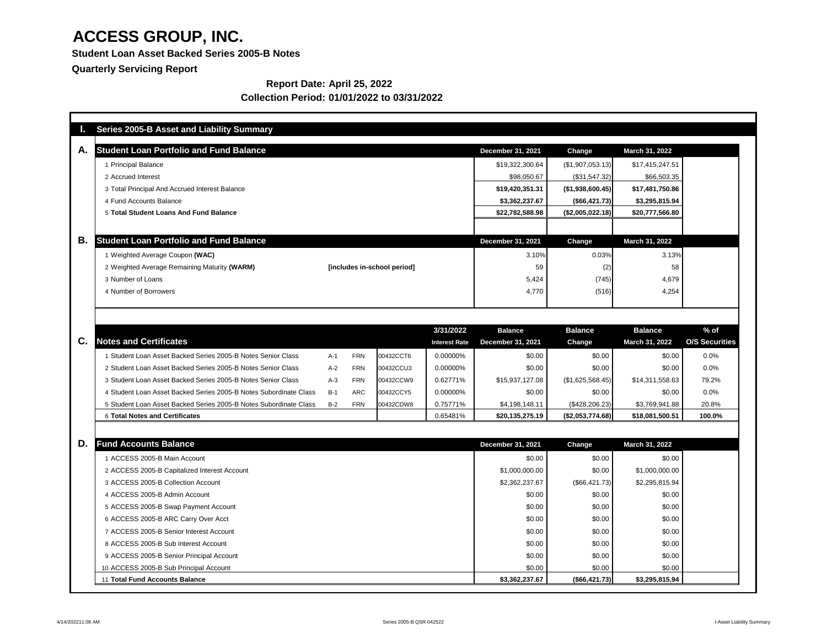**Student Loan Asset Backed Series 2005-B Notes**

**Quarterly Servicing Report**

### **Report Date: April 25, 2022 Collection Period: 01/01/2022 to 03/31/2022**

| <b>Student Loan Portfolio and Fund Balance</b>                              |       |            |           |                      | <b>December 31, 2021</b> | Change              | <b>March 31, 2022</b> |                       |
|-----------------------------------------------------------------------------|-------|------------|-----------|----------------------|--------------------------|---------------------|-----------------------|-----------------------|
| 1 Principal Balance                                                         |       |            |           | \$19,322,300.64      | (\$1,907,053.13)         | \$17,415,247.51     |                       |                       |
| 2 Accrued Interest                                                          |       |            |           |                      | \$98,050.67              | (\$31,547.32)       | \$66,503.35           |                       |
| 3 Total Principal And Accrued Interest Balance                              |       |            |           |                      | \$19,420,351.31          | $($ \$1,938,600.45) | \$17,481,750.86       |                       |
| 4 Fund Accounts Balance                                                     |       |            |           |                      | \$3,362,237.67           | (\$66,421.73)       | \$3,295,815.94        |                       |
| 5 Total Student Loans And Fund Balance                                      |       |            |           |                      | \$22,782,588.98          | (\$2,005,022.18)    | \$20,777,566.80       |                       |
|                                                                             |       |            |           |                      |                          |                     |                       |                       |
| <b>Student Loan Portfolio and Fund Balance</b>                              |       |            |           |                      | <b>December 31, 2021</b> | <b>Change</b>       | March 31, 2022        |                       |
| 1 Weighted Average Coupon (WAC)                                             |       |            |           |                      | 3.10%                    | 0.03%               | 3.13%                 |                       |
| 2 Weighted Average Remaining Maturity (WARM)<br>[includes in-school period] |       |            | 59        | (2)                  | 58                       |                     |                       |                       |
| 3 Number of Loans                                                           |       |            |           |                      | 5,424                    | (745)               | 4,679                 |                       |
| 4 Number of Borrowers                                                       |       |            |           |                      | 4,770                    | (516)               | 4,254                 |                       |
|                                                                             |       |            |           | 3/31/2022            | <b>Balance</b>           | <b>Balance</b>      | <b>Balance</b>        | $%$ of                |
| <b>Notes and Certificates</b>                                               |       |            |           | <b>Interest Rate</b> | <b>December 31, 2021</b> | <b>Change</b>       | <b>March 31, 2022</b> | <b>O/S Securities</b> |
| 1 Student Loan Asset Backed Series 2005-B Notes Senior Class                | $A-1$ | <b>FRN</b> | 00432CCT6 | 0.00000%             | \$0.00                   | \$0.00              | \$0.00                | 0.0%                  |
| 2 Student Loan Asset Backed Series 2005-B Notes Senior Class                | $A-2$ | <b>FRN</b> | 00432CCU3 | 0.00000%             | \$0.00                   | \$0.00              | \$0.00                | 0.0%                  |
| 3 Student Loan Asset Backed Series 2005-B Notes Senior Class                | $A-3$ | <b>FRN</b> | 00432CCW9 | 0.62771%             | \$15,937,127.08          | (\$1,625,568.45)    | \$14,311,558.63       | 79.2%                 |
| 4 Student Loan Asset Backed Series 2005-B Notes Subordinate Class           | $B-1$ | <b>ARC</b> | 00432CCY5 | 0.00000%             | \$0.00                   | \$0.00              | \$0.00                | 0.0%                  |
| 5 Student Loan Asset Backed Series 2005-B Notes Subordinate Class           | $B-2$ | <b>FRN</b> | 00432CDW8 | 0.75771%             | \$4,198,148.11           | $(\$428,206.23)$    | \$3,769,941.88        | 20.8%                 |
| <b>6 Total Notes and Certificates</b>                                       |       |            |           | 0.65481%             | \$20,135,275.19          | (\$2,053,774.68)    | \$18,081,500.51       | 100.0%                |
| <b>Fund Accounts Balance</b>                                                |       |            |           |                      | <b>December 31, 2021</b> | <b>Change</b>       | March 31, 2022        |                       |
| 1 ACCESS 2005-B Main Account                                                |       |            |           |                      | \$0.00                   | \$0.00              | \$0.00                |                       |
| 2 ACCESS 2005-B Capitalized Interest Account                                |       |            |           |                      | \$1,000,000.00           | \$0.00              | \$1,000,000.00        |                       |
| 3 ACCESS 2005-B Collection Account                                          |       |            |           |                      | \$2,362,237.67           | (\$66,421.73)       | \$2,295,815.94        |                       |
| 4 ACCESS 2005-B Admin Account                                               |       |            |           |                      | \$0.00                   | \$0.00              | \$0.00                |                       |
| 5 ACCESS 2005-B Swap Payment Account                                        |       |            |           |                      | \$0.00                   | \$0.00              | \$0.00                |                       |
| 6 ACCESS 2005-B ARC Carry Over Acct                                         |       |            |           |                      | \$0.00                   | \$0.00              | \$0.00                |                       |
| 7 ACCESS 2005-B Senior Interest Account                                     |       |            |           |                      | \$0.00                   | \$0.00              | \$0.00                |                       |
| 8 ACCESS 2005-B Sub Interest Account                                        |       |            |           |                      | \$0.00                   | \$0.00              | \$0.00                |                       |
| 9 ACCESS 2005-B Senior Principal Account                                    |       |            |           |                      | \$0.00                   | \$0.00              | \$0.00                |                       |
| 10 ACCESS 2005-B Sub Principal Account                                      |       |            |           |                      | \$0.00                   | \$0.00              | \$0.00                |                       |
|                                                                             |       |            |           |                      |                          | (\$66,421.73)       | \$3,295,815.94        |                       |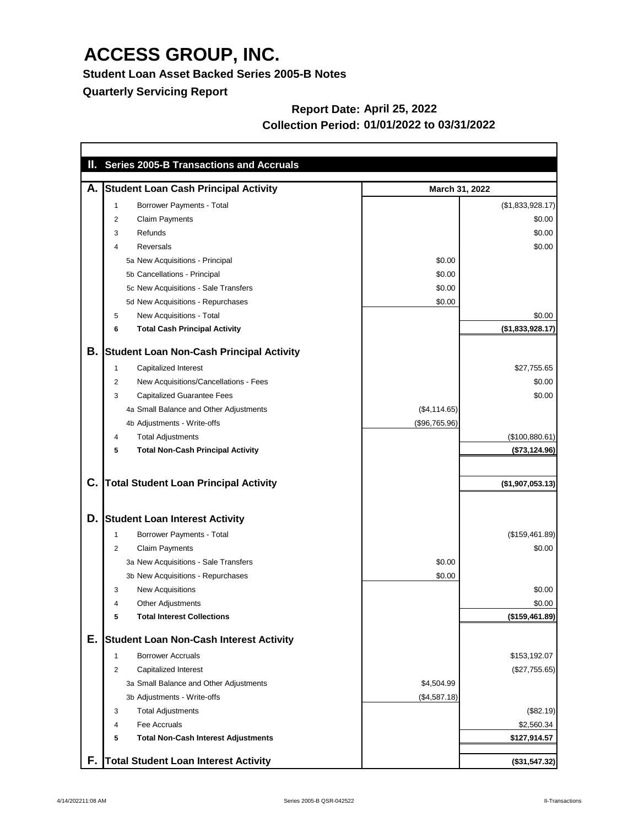**Student Loan Asset Backed Series 2005-B Notes**

**Quarterly Servicing Report**

#### **Report Date: April 25, 2022 Collection Period: 01/01/2022 to 03/31/2022**

| Ш. |                | <b>Series 2005-B Transactions and Accruals</b>  |               |                  |
|----|----------------|-------------------------------------------------|---------------|------------------|
| А. |                | <b>Student Loan Cash Principal Activity</b>     |               | March 31, 2022   |
|    |                | <b>Borrower Payments - Total</b>                |               | (\$1,833,928.17) |
|    | 2              | <b>Claim Payments</b>                           |               | \$0.00           |
|    | 3              | Refunds                                         |               | \$0.00           |
|    | 4              | <b>Reversals</b>                                |               | \$0.00           |
|    |                | 5a New Acquisitions - Principal                 | \$0.00        |                  |
|    |                | 5b Cancellations - Principal                    | \$0.00        |                  |
|    |                | 5c New Acquisitions - Sale Transfers            | \$0.00        |                  |
|    |                | 5d New Acquisitions - Repurchases               | \$0.00        |                  |
|    | 5              | <b>New Acquisitions - Total</b>                 |               | \$0.00           |
|    | 6              | <b>Total Cash Principal Activity</b>            |               | (\$1,833,928.17) |
| В. |                | <b>Student Loan Non-Cash Principal Activity</b> |               |                  |
|    |                | Capitalized Interest                            |               | \$27,755.65      |
|    | $\overline{2}$ | New Acquisitions/Cancellations - Fees           |               | \$0.00           |
|    | 3              | <b>Capitalized Guarantee Fees</b>               |               | \$0.00           |
|    |                | 4a Small Balance and Other Adjustments          | (\$4,114.65)  |                  |
|    |                | 4b Adjustments - Write-offs                     | (\$96,765.96) |                  |
|    | 4              | <b>Total Adjustments</b>                        |               | (\$100,880.61)   |
|    | 5              | <b>Total Non-Cash Principal Activity</b>        |               | (\$73,124.96)    |
| C. |                | <b>Total Student Loan Principal Activity</b>    |               | (\$1,907,053.13) |
| D. |                | <b>Student Loan Interest Activity</b>           |               |                  |
|    |                | Borrower Payments - Total                       |               | (\$159,461.89)   |
|    | $\overline{2}$ | <b>Claim Payments</b>                           |               | \$0.00           |
|    |                | 3a New Acquisitions - Sale Transfers            | \$0.00        |                  |
|    |                | 3b New Acquisitions - Repurchases               | \$0.00        |                  |
|    | 3              | <b>New Acquisitions</b>                         |               | \$0.00           |
|    | 4              | <b>Other Adjustments</b>                        |               | \$0.00           |
|    | 5              | <b>Total Interest Collections</b>               |               | (\$159,461.89)   |
| Е. |                | <b>Student Loan Non-Cash Interest Activity</b>  |               |                  |
|    | 1              | <b>Borrower Accruals</b>                        |               | \$153,192.07     |
|    | $\overline{2}$ | Capitalized Interest                            |               | (\$27,755.65)    |
|    |                | 3a Small Balance and Other Adjustments          | \$4,504.99    |                  |
|    |                | 3b Adjustments - Write-offs                     | (\$4,587.18)  |                  |
|    | 3              | <b>Total Adjustments</b>                        |               | (\$82.19)        |
|    | 4              | Fee Accruals                                    |               | \$2,560.34       |
|    | 5              | <b>Total Non-Cash Interest Adjustments</b>      |               | \$127,914.57     |
| F. |                | <b>Total Student Loan Interest Activity</b>     |               | (\$31,547.32)    |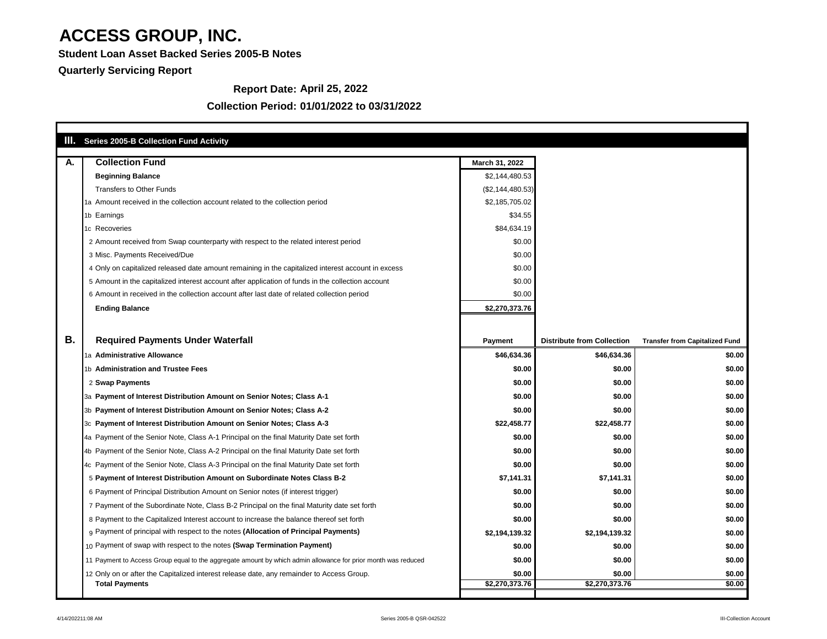**Student Loan Asset Backed Series 2005-B Notes**

**Quarterly Servicing Report**

#### **Collection Period: 01/01/2022 to 03/31/2022**

#### **Report Date: April 25, 2022**

| <b>Series 2005-B Collection Fund Activity</b>                                                                 |                  |                                   |                                       |
|---------------------------------------------------------------------------------------------------------------|------------------|-----------------------------------|---------------------------------------|
| <b>Collection Fund</b><br>A.                                                                                  | March 31, 2022   |                                   |                                       |
| <b>Beginning Balance</b>                                                                                      | \$2,144,480.53   |                                   |                                       |
| <b>Transfers to Other Funds</b>                                                                               | (\$2,144,480.53) |                                   |                                       |
| 1a Amount received in the collection account related to the collection period                                 | \$2,185,705.02   |                                   |                                       |
| 1b Earnings                                                                                                   | \$34.55          |                                   |                                       |
| 1c Recoveries                                                                                                 | \$84,634.19      |                                   |                                       |
| 2 Amount received from Swap counterparty with respect to the related interest period                          | \$0.00           |                                   |                                       |
| 3 Misc. Payments Received/Due                                                                                 | \$0.00           |                                   |                                       |
| 4 Only on capitalized released date amount remaining in the capitalized interest account in excess            | \$0.00           |                                   |                                       |
| 5 Amount in the capitalized interest account after application of funds in the collection account             | \$0.00           |                                   |                                       |
| 6 Amount in received in the collection account after last date of related collection period                   | \$0.00           |                                   |                                       |
| <b>Ending Balance</b>                                                                                         | \$2,270,373.76   |                                   |                                       |
|                                                                                                               |                  |                                   |                                       |
| <b>B.</b><br><b>Required Payments Under Waterfall</b>                                                         | <b>Payment</b>   | <b>Distribute from Collection</b> | <b>Transfer from Capitalized Fund</b> |
| 1a Administrative Allowance                                                                                   | \$46,634.36      | \$46,634.36                       | \$0.00                                |
| 1b Administration and Trustee Fees                                                                            | \$0.00           | \$0.00                            | \$0.00                                |
| 2 Swap Payments                                                                                               | \$0.00           | \$0.00                            | \$0.00                                |
| 3a Payment of Interest Distribution Amount on Senior Notes; Class A-1                                         | \$0.00           | \$0.00                            | \$0.00                                |
| 3b Payment of Interest Distribution Amount on Senior Notes; Class A-2                                         | \$0.00           | \$0.00                            | \$0.00                                |
| 3c Payment of Interest Distribution Amount on Senior Notes; Class A-3                                         | \$22,458.77      | \$22,458.77                       | \$0.00                                |
| 4a Payment of the Senior Note, Class A-1 Principal on the final Maturity Date set forth                       | \$0.00           | \$0.00                            | \$0.00                                |
| 4b Payment of the Senior Note, Class A-2 Principal on the final Maturity Date set forth                       | \$0.00           | \$0.00                            | \$0.00                                |
| 4c Payment of the Senior Note, Class A-3 Principal on the final Maturity Date set forth                       | \$0.00           | \$0.00                            | \$0.00                                |
| 5 Payment of Interest Distribution Amount on Subordinate Notes Class B-2                                      | \$7,141.31       | \$7,141.31                        | \$0.00                                |
| 6 Payment of Principal Distribution Amount on Senior notes (if interest trigger)                              | \$0.00           | \$0.00                            | \$0.00                                |
| 7 Payment of the Subordinate Note, Class B-2 Principal on the final Maturity date set forth                   | \$0.00           | \$0.00                            | \$0.00                                |
| 8 Payment to the Capitalized Interest account to increase the balance thereof set forth                       | \$0.00           | \$0.00                            | \$0.00                                |
| g Payment of principal with respect to the notes (Allocation of Principal Payments)                           | \$2,194,139.32   | \$2,194,139.32                    | \$0.00                                |
| 10 Payment of swap with respect to the notes (Swap Termination Payment)                                       | \$0.00           | \$0.00                            | \$0.00                                |
| 11 Payment to Access Group equal to the aggregate amount by which admin allowance for prior month was reduced | \$0.00           | \$0.00                            | \$0.00                                |
| 12 Only on or after the Capitalized interest release date, any remainder to Access Group.                     | \$0.00           | \$0.00                            | \$0.00                                |
| <b>Total Payments</b>                                                                                         | \$2,270,373.76   | \$2,270,373.76                    | \$0.00                                |

٦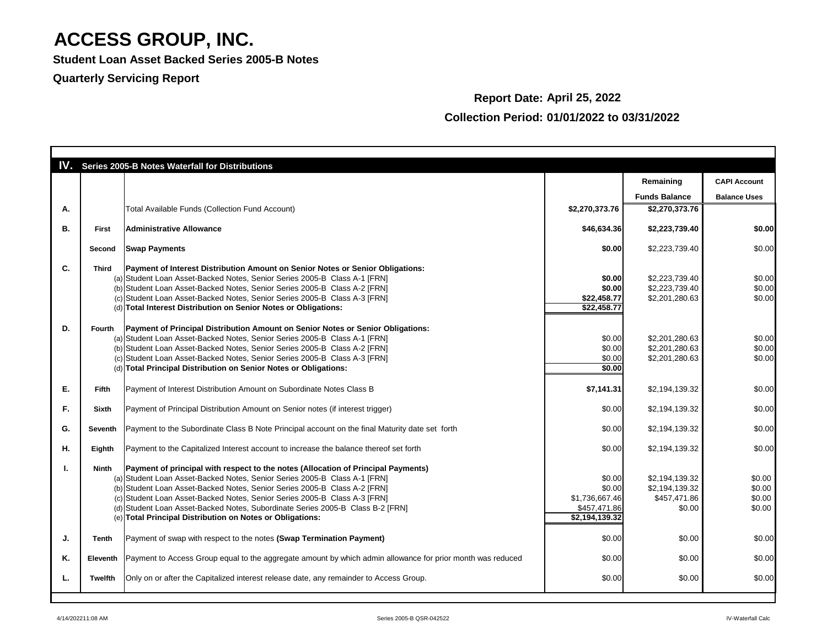**Student Loan Asset Backed Series 2005-B Notes**

#### **Quarterly Servicing Report**

### **Report Date: April 25, 2022 Collection Period: 01/01/2022 to 03/31/2022**

|           |                | <b>IV.</b> Series 2005-B Notes Waterfall for Distributions                                                          |                |                      |                     |
|-----------|----------------|---------------------------------------------------------------------------------------------------------------------|----------------|----------------------|---------------------|
|           |                |                                                                                                                     |                | Remaining            | <b>CAPI Account</b> |
|           |                |                                                                                                                     |                | <b>Funds Balance</b> | <b>Balance Uses</b> |
| Α.        |                | <b>Total Available Funds (Collection Fund Account)</b>                                                              | \$2,270,373.76 | \$2,270,373.76       |                     |
| <b>B.</b> |                | <b>Administrative Allowance</b>                                                                                     | \$46,634.36    | \$2,223,739.40       | \$0.00              |
|           | <b>First</b>   |                                                                                                                     |                |                      |                     |
|           | <b>Second</b>  | <b>Swap Payments</b>                                                                                                | \$0.00         | \$2,223,739.40       | \$0.00              |
| C.        | <b>Third</b>   | <b>Payment of Interest Distribution Amount on Senior Notes or Senior Obligations:</b>                               |                |                      |                     |
|           |                | (a) Student Loan Asset-Backed Notes, Senior Series 2005-B Class A-1 [FRN]                                           | \$0.00         | \$2,223,739.40       | \$0.00              |
|           |                | (b) Student Loan Asset-Backed Notes, Senior Series 2005-B Class A-2 [FRN]                                           | \$0.00         | \$2,223,739.40       | \$0.00              |
|           |                | (c) Student Loan Asset-Backed Notes, Senior Series 2005-B Class A-3 [FRN]                                           | \$22,458.77    | \$2,201,280.63       | \$0.00              |
|           |                | (d) Total Interest Distribution on Senior Notes or Obligations:                                                     | \$22,458.77    |                      |                     |
|           |                |                                                                                                                     |                |                      |                     |
| D.        | <b>Fourth</b>  | Payment of Principal Distribution Amount on Senior Notes or Senior Obligations:                                     |                |                      |                     |
|           |                | (a) Student Loan Asset-Backed Notes, Senior Series 2005-B Class A-1 [FRN]                                           | \$0.00         | \$2,201,280.63       | \$0.00              |
|           |                | (b) Student Loan Asset-Backed Notes, Senior Series 2005-B Class A-2 [FRN]                                           | \$0.00         | \$2,201,280.63       | \$0.00              |
|           |                | (c) Student Loan Asset-Backed Notes, Senior Series 2005-B Class A-3 [FRN]                                           | \$0.00         | \$2,201,280.63       | \$0.00              |
|           |                | (d) Total Principal Distribution on Senior Notes or Obligations:                                                    | \$0.00         |                      |                     |
|           |                |                                                                                                                     |                |                      |                     |
| Е.        | <b>Fifth</b>   | Payment of Interest Distribution Amount on Subordinate Notes Class B                                                | \$7,141.31     | \$2,194,139.32       | \$0.00              |
|           |                |                                                                                                                     |                |                      |                     |
| F.        | <b>Sixth</b>   | Payment of Principal Distribution Amount on Senior notes (if interest trigger)                                      | \$0.00         | \$2,194,139.32       | \$0.00              |
| G.        | Seventh        | Payment to the Subordinate Class B Note Principal account on the final Maturity date set forth                      | \$0.00         | \$2,194,139.32       | \$0.00              |
|           |                |                                                                                                                     |                |                      |                     |
| Η.        | <b>Eighth</b>  | Payment to the Capitalized Interest account to increase the balance thereof set forth                               | \$0.00         | \$2,194,139.32       | \$0.00              |
|           | Ninth          | <b>Payment of principal with respect to the notes (Allocation of Principal Payments)</b>                            |                |                      |                     |
|           |                | (a) Student Loan Asset-Backed Notes, Senior Series 2005-B Class A-1 [FRN]                                           | \$0.00         | \$2,194,139.32       | \$0.00              |
|           |                | (b) Student Loan Asset-Backed Notes, Senior Series 2005-B Class A-2 [FRN]                                           | \$0.00         | \$2,194,139.32       | \$0.00              |
|           |                |                                                                                                                     |                |                      |                     |
|           |                | (c) Student Loan Asset-Backed Notes, Senior Series 2005-B Class A-3 [FRN]                                           | \$1,736,667.46 | \$457,471.86         | \$0.00              |
|           |                | (d) Student Loan Asset-Backed Notes, Subordinate Series 2005-B Class B-2 [FRN]                                      | \$457,471.86   | \$0.00               | \$0.00              |
|           |                | (e) Total Principal Distribution on Notes or Obligations:                                                           | \$2,194,139.32 |                      |                     |
| J.        | Tenth          | Payment of swap with respect to the notes (Swap Termination Payment)                                                | \$0.00         | \$0.00               | \$0.00              |
|           |                |                                                                                                                     |                |                      |                     |
| Κ.        |                | Eleventh Payment to Access Group equal to the aggregate amount by which admin allowance for prior month was reduced | \$0.00         | \$0.00               | \$0.00              |
| L.        | <b>Twelfth</b> | Only on or after the Capitalized interest release date, any remainder to Access Group.                              | \$0.00         | \$0.00               | \$0.00              |
|           |                |                                                                                                                     |                |                      |                     |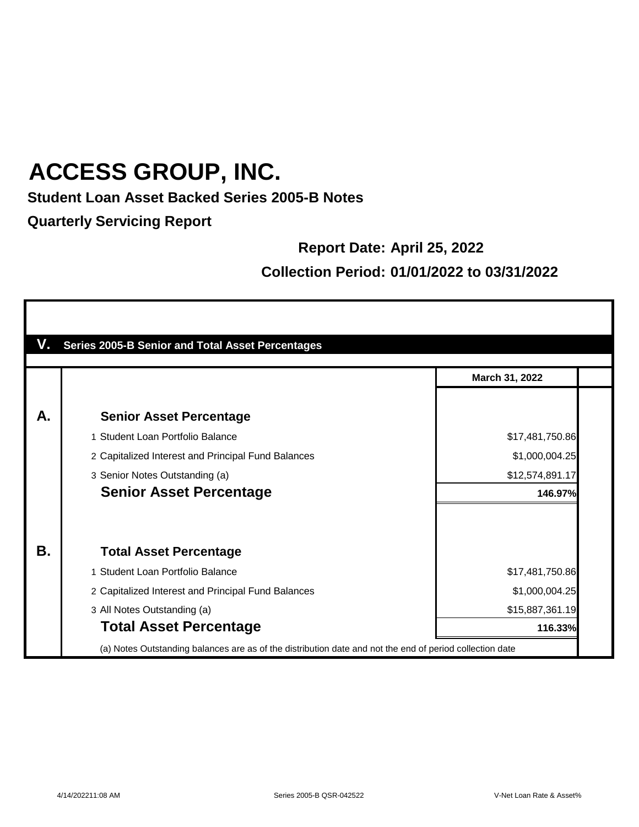#### **Student Loan Asset Backed Series 2005-B Notes**

**Quarterly Servicing Report**

#### **Report Date: April 25, 2022**

#### **Collection Period: 01/01/2022 to 03/31/2022**

| V. | <b>Series 2005-B Senior and Total Asset Percentages</b>                                                  |                 |
|----|----------------------------------------------------------------------------------------------------------|-----------------|
|    |                                                                                                          | March 31, 2022  |
| А. | <b>Senior Asset Percentage</b>                                                                           |                 |
|    | 1 Student Loan Portfolio Balance                                                                         | \$17,481,750.86 |
|    | 2 Capitalized Interest and Principal Fund Balances                                                       | \$1,000,004.25  |
|    | 3 Senior Notes Outstanding (a)                                                                           | \$12,574,891.17 |
|    | <b>Senior Asset Percentage</b>                                                                           | 146.97%         |
|    |                                                                                                          |                 |
| В. | <b>Total Asset Percentage</b>                                                                            |                 |
|    | 1 Student Loan Portfolio Balance                                                                         | \$17,481,750.86 |
|    | 2 Capitalized Interest and Principal Fund Balances                                                       | \$1,000,004.25  |
|    | 3 All Notes Outstanding (a)                                                                              | \$15,887,361.19 |
|    | <b>Total Asset Percentage</b>                                                                            | 116.33%         |
|    | (a) Notes Outstanding balances are as of the distribution date and not the end of period collection date |                 |

٦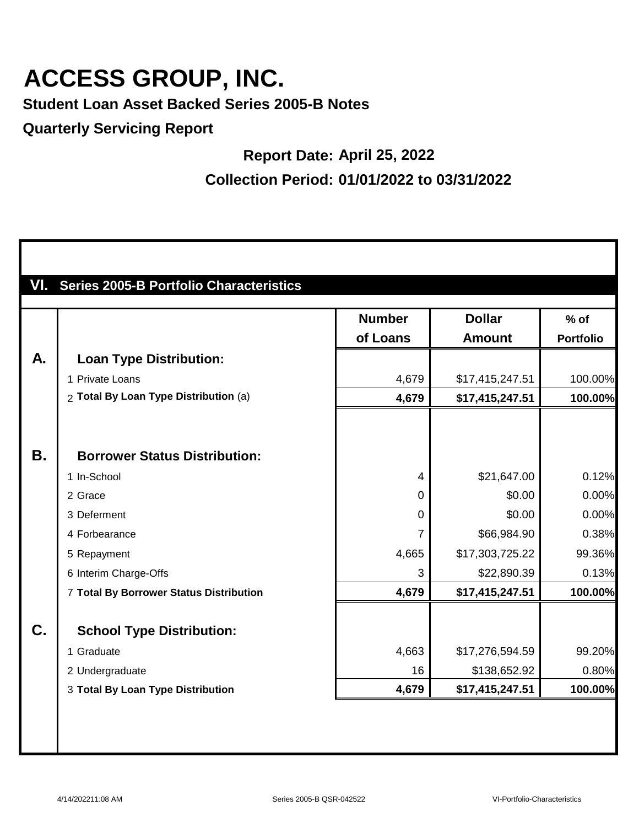**Student Loan Asset Backed Series 2005-B Notes**

**Quarterly Servicing Report**

#### **Report Date: April 25, 2022**

**Collection Period: 01/01/2022 to 03/31/2022**

|           |                                         | <b>Number</b>  | <b>Dollar</b>   | $%$ of           |
|-----------|-----------------------------------------|----------------|-----------------|------------------|
|           |                                         | of Loans       | <b>Amount</b>   | <b>Portfolio</b> |
| A.        | <b>Loan Type Distribution:</b>          |                |                 |                  |
|           | 1 Private Loans                         | 4,679          | \$17,415,247.51 | 100.00%          |
|           | 2 Total By Loan Type Distribution (a)   | 4,679          | \$17,415,247.51 | 100.00%          |
|           |                                         |                |                 |                  |
| <b>B.</b> | <b>Borrower Status Distribution:</b>    |                |                 |                  |
|           | 1 In-School                             | $\overline{4}$ | \$21,647.00     | 0.12%            |
|           | 2 Grace                                 | 0              | \$0.00          | 0.00%            |
|           | 3 Deferment                             | 0              | \$0.00          | 0.00%            |
|           | 4 Forbearance                           | 7              | \$66,984.90     | 0.38%            |
|           | 5 Repayment                             | 4,665          | \$17,303,725.22 | 99.36%           |
|           | 6 Interim Charge-Offs                   | 3              | \$22,890.39     | 0.13%            |
|           | 7 Total By Borrower Status Distribution | 4,679          | \$17,415,247.51 | 100.00%          |
| C.        | <b>School Type Distribution:</b>        |                |                 |                  |
|           | 1 Graduate                              | 4,663          | \$17,276,594.59 | 99.20%           |
|           | 2 Undergraduate                         | 16             | \$138,652.92    | 0.80%            |
|           | 3 Total By Loan Type Distribution       | 4,679          | \$17,415,247.51 | 100.00%          |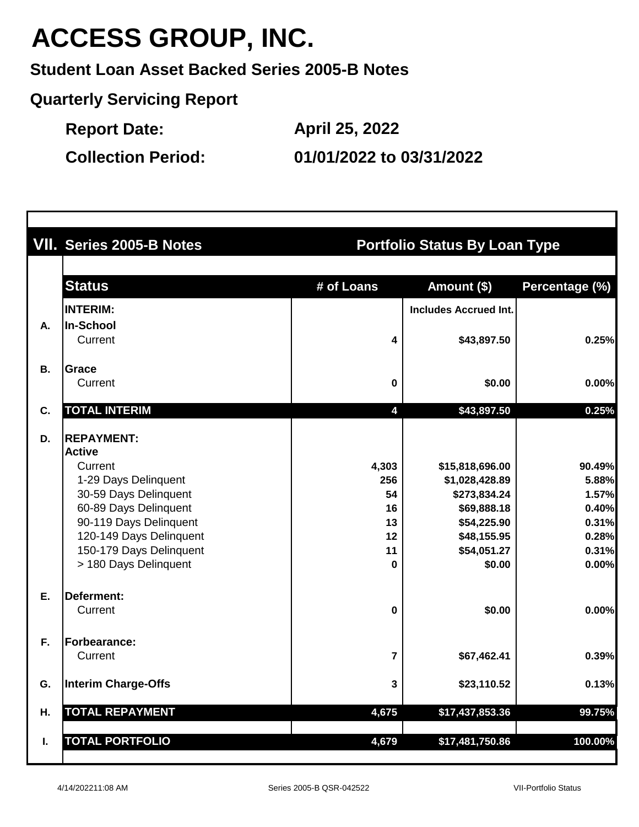**Student Loan Asset Backed Series 2005-B Notes**

**Quarterly Servicing Report**

**Report Date:**

**April 25, 2022**

**Collection Period: 01/01/2022 to 03/31/2022**

|           | VII. Series 2005-B Notes   | <b>Portfolio Status By Loan Type</b> |                              |                |  |  |
|-----------|----------------------------|--------------------------------------|------------------------------|----------------|--|--|
|           | <b>Status</b>              | # of Loans                           | Amount (\$)                  | Percentage (%) |  |  |
|           | <b>INTERIM:</b>            |                                      | <b>Includes Accrued Int.</b> |                |  |  |
| Α.        | In-School                  |                                      |                              |                |  |  |
|           | Current                    | 4                                    | \$43,897.50                  | 0.25%          |  |  |
| <b>B.</b> | <b>Grace</b>               |                                      |                              |                |  |  |
|           | Current                    | $\mathbf 0$                          | \$0.00                       | 0.00%          |  |  |
| C.        | <b>TOTAL INTERIM</b>       | 4                                    | \$43,897.50                  | 0.25%          |  |  |
| D.        | <b>REPAYMENT:</b>          |                                      |                              |                |  |  |
|           | <b>Active</b>              |                                      |                              |                |  |  |
|           | Current                    | 4,303                                | \$15,818,696.00              | 90.49%         |  |  |
|           | 1-29 Days Delinquent       | 256                                  | \$1,028,428.89               | 5.88%          |  |  |
|           | 30-59 Days Delinquent      | 54                                   | \$273,834.24                 | 1.57%          |  |  |
|           | 60-89 Days Delinquent      | 16                                   | \$69,888.18                  | 0.40%          |  |  |
|           | 90-119 Days Delinquent     | 13                                   | \$54,225.90                  | 0.31%          |  |  |
|           | 120-149 Days Delinquent    | 12                                   | \$48,155.95                  | 0.28%          |  |  |
|           | 150-179 Days Delinquent    | 11                                   | \$54,051.27                  | 0.31%          |  |  |
|           | > 180 Days Delinquent      | $\bf{0}$                             | \$0.00                       | 0.00%          |  |  |
| Ε.        | Deferment:                 |                                      |                              |                |  |  |
|           | Current                    | $\pmb{0}$                            | \$0.00                       | 0.00%          |  |  |
| F.        | <b>Forbearance:</b>        |                                      |                              |                |  |  |
|           | Current                    | $\overline{\mathbf{r}}$              | \$67,462.41                  | 0.39%          |  |  |
| G.        | <b>Interim Charge-Offs</b> | 3                                    | \$23,110.52                  | 0.13%          |  |  |
| Η.        | <b>TOTAL REPAYMENT</b>     | 4,675                                | \$17,437,853.36              | 99.75%         |  |  |
|           |                            |                                      |                              |                |  |  |
| I.        | <b>TOTAL PORTFOLIO</b>     | 4,679                                | \$17,481,750.86              | 100.00%        |  |  |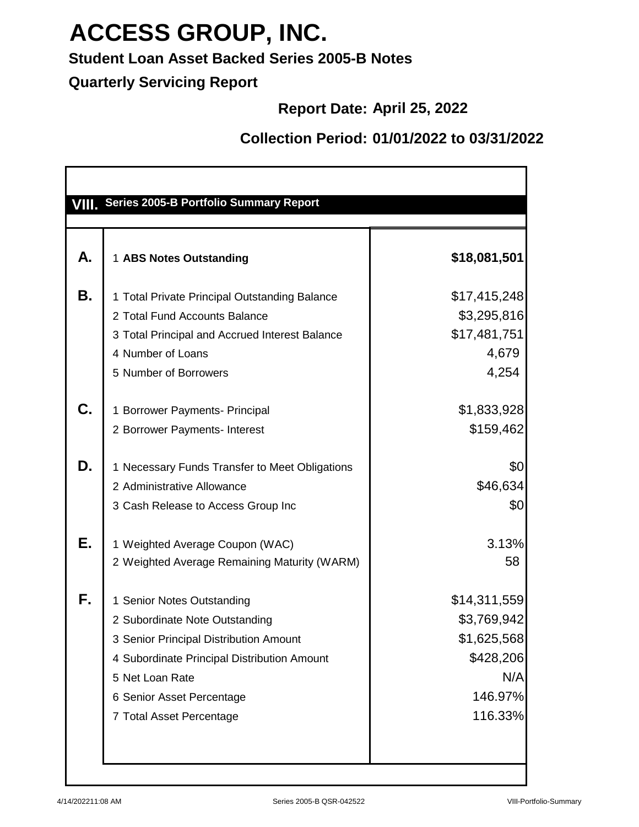#### **Student Loan Asset Backed Series 2005-B Notes**

**Quarterly Servicing Report**

#### **Report Date: April 25, 2022**

#### **Collection Period: 01/01/2022 to 03/31/2022**

|    | VIII. Series 2005-B Portfolio Summary Report                                                                                                                                                                                      |                                                                                      |
|----|-----------------------------------------------------------------------------------------------------------------------------------------------------------------------------------------------------------------------------------|--------------------------------------------------------------------------------------|
| А. | 1 ABS Notes Outstanding                                                                                                                                                                                                           | \$18,081,501                                                                         |
| Β. | 1 Total Private Principal Outstanding Balance<br>2 Total Fund Accounts Balance<br>3 Total Principal and Accrued Interest Balance<br>4 Number of Loans<br>5 Number of Borrowers                                                    | \$17,415,248<br>\$3,295,816<br>\$17,481,751<br>4,679<br>4,254                        |
| C. | 1 Borrower Payments- Principal<br>2 Borrower Payments- Interest                                                                                                                                                                   | \$1,833,928<br>\$159,462                                                             |
| D. | Necessary Funds Transfer to Meet Obligations<br>2 Administrative Allowance<br>3 Cash Release to Access Group Inc                                                                                                                  | \$0<br>\$46,634<br>\$0                                                               |
| Е. | 1 Weighted Average Coupon (WAC)<br>2 Weighted Average Remaining Maturity (WARM)                                                                                                                                                   | 3.13%<br>58                                                                          |
| F. | 1 Senior Notes Outstanding<br>2 Subordinate Note Outstanding<br>3 Senior Principal Distribution Amount<br>4 Subordinate Principal Distribution Amount<br>5 Net Loan Rate<br>6 Senior Asset Percentage<br>7 Total Asset Percentage | \$14,311,559<br>\$3,769,942<br>\$1,625,568<br>\$428,206<br>N/A<br>146.97%<br>116.33% |